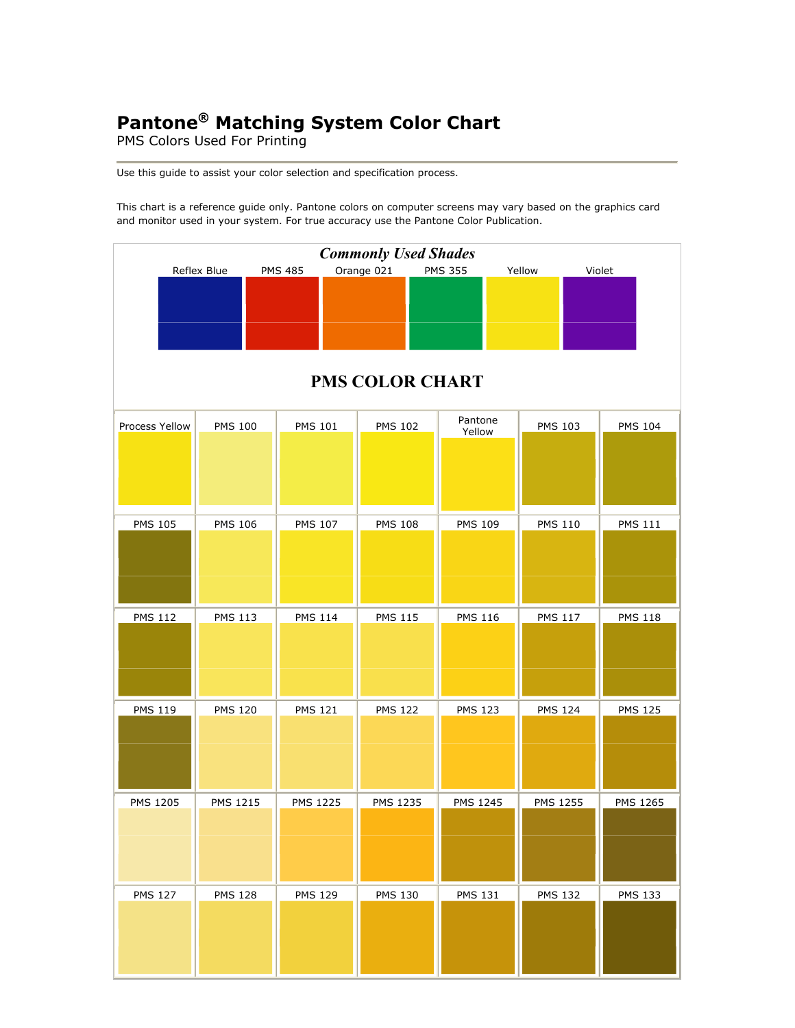## **Pantone® Matching System Color Chart**

PMS Colors Used For Printing

Use this guide to assist your color selection and specification process.

This chart is a reference guide only. Pantone colors on computer screens may vary based on the graphics card and monitor used in your system. For true accuracy use the Pantone Color Publication.

| <b>Commonly Used Shades</b> |                 |                |                        |                   |                 |                |  |
|-----------------------------|-----------------|----------------|------------------------|-------------------|-----------------|----------------|--|
|                             | Reflex Blue     | <b>PMS 485</b> | Orange 021             | <b>PMS 355</b>    | Yellow          | Violet         |  |
|                             |                 |                | <b>PMS COLOR CHART</b> |                   |                 |                |  |
| Process Yellow              | <b>PMS 100</b>  | <b>PMS 101</b> | <b>PMS 102</b>         | Pantone<br>Yellow | <b>PMS 103</b>  | <b>PMS 104</b> |  |
| <b>PMS 105</b>              | <b>PMS 106</b>  | <b>PMS 107</b> | <b>PMS 108</b>         | <b>PMS 109</b>    | <b>PMS 110</b>  | <b>PMS 111</b> |  |
| <b>PMS 112</b>              | <b>PMS 113</b>  | <b>PMS 114</b> | <b>PMS 115</b>         | <b>PMS 116</b>    | <b>PMS 117</b>  | <b>PMS 118</b> |  |
| <b>PMS 119</b>              | <b>PMS 120</b>  | <b>PMS 121</b> | <b>PMS 122</b>         | <b>PMS 123</b>    | <b>PMS 124</b>  | <b>PMS 125</b> |  |
| <b>PMS 1205</b>             | <b>PMS 1215</b> | PMS 1225       | <b>PMS 1235</b>        | PMS 1245          | <b>PMS 1255</b> | PMS 1265       |  |
| <b>PMS 127</b>              | <b>PMS 128</b>  | <b>PMS 129</b> | <b>PMS 130</b>         | <b>PMS 131</b>    | <b>PMS 132</b>  | <b>PMS 133</b> |  |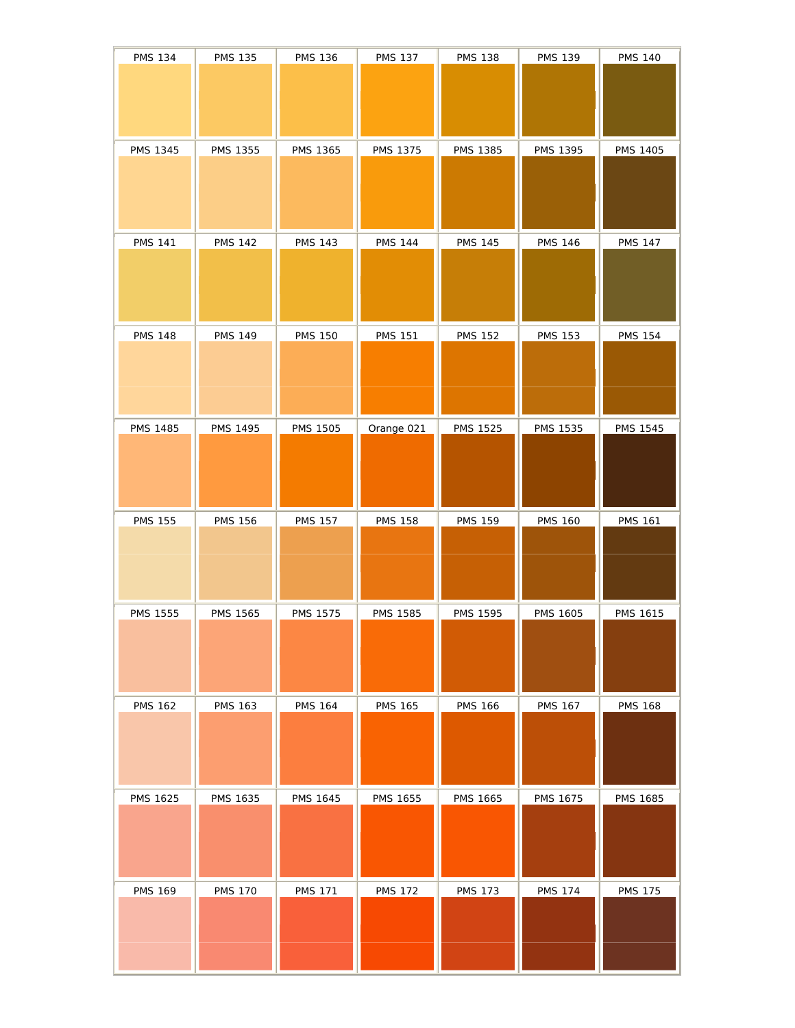| <b>PMS 134</b>  | <b>PMS 135</b>  | <b>PMS 136</b>  | <b>PMS 137</b>  | <b>PMS 138</b>  | <b>PMS 139</b>  | <b>PMS 140</b>  |
|-----------------|-----------------|-----------------|-----------------|-----------------|-----------------|-----------------|
|                 |                 |                 |                 |                 |                 |                 |
|                 |                 |                 |                 |                 |                 |                 |
| <b>PMS 1345</b> | <b>PMS 1355</b> | PMS 1365        | PMS 1375        | PMS 1385        | PMS 1395        | <b>PMS 1405</b> |
|                 |                 |                 |                 |                 |                 |                 |
|                 |                 |                 |                 |                 |                 |                 |
|                 |                 |                 |                 |                 |                 |                 |
| <b>PMS 141</b>  | <b>PMS 142</b>  | <b>PMS 143</b>  | <b>PMS 144</b>  | <b>PMS 145</b>  | <b>PMS 146</b>  | <b>PMS 147</b>  |
|                 |                 |                 |                 |                 |                 |                 |
|                 |                 |                 |                 |                 |                 |                 |
| <b>PMS 148</b>  | <b>PMS 149</b>  | <b>PMS 150</b>  | <b>PMS 151</b>  | <b>PMS 152</b>  | <b>PMS 153</b>  | <b>PMS 154</b>  |
|                 |                 |                 |                 |                 |                 |                 |
|                 |                 |                 |                 |                 |                 |                 |
|                 |                 |                 |                 |                 |                 |                 |
| <b>PMS 1485</b> | <b>PMS 1495</b> | <b>PMS 1505</b> | Orange 021      | <b>PMS 1525</b> | <b>PMS 1535</b> | <b>PMS 1545</b> |
|                 |                 |                 |                 |                 |                 |                 |
|                 |                 |                 |                 |                 |                 |                 |
|                 |                 |                 |                 |                 |                 |                 |
| <b>PMS 155</b>  | <b>PMS 156</b>  | <b>PMS 157</b>  | <b>PMS 158</b>  | <b>PMS 159</b>  | <b>PMS 160</b>  | <b>PMS 161</b>  |
|                 |                 |                 |                 |                 |                 |                 |
|                 |                 |                 |                 |                 |                 |                 |
| <b>PMS 1555</b> | <b>PMS 1565</b> | <b>PMS 1575</b> | <b>PMS 1585</b> | <b>PMS 1595</b> | <b>PMS 1605</b> | <b>PMS 1615</b> |
|                 |                 |                 |                 |                 |                 |                 |
|                 |                 |                 |                 |                 |                 |                 |
|                 |                 |                 |                 |                 |                 |                 |
| <b>PMS 162</b>  | <b>PMS 163</b>  | <b>PMS 164</b>  | <b>PMS 165</b>  | <b>PMS 166</b>  | <b>PMS 167</b>  | <b>PMS 168</b>  |
|                 |                 |                 |                 |                 |                 |                 |
|                 |                 |                 |                 |                 |                 |                 |
|                 |                 |                 |                 |                 |                 |                 |
| PMS 1625        | <b>PMS 1635</b> | <b>PMS 1645</b> | PMS 1655        | <b>PMS 1665</b> | PMS 1675        | <b>PMS 1685</b> |
|                 |                 |                 |                 |                 |                 |                 |
|                 |                 |                 |                 |                 |                 |                 |
| <b>PMS 169</b>  | <b>PMS 170</b>  | <b>PMS 171</b>  | <b>PMS 172</b>  | <b>PMS 173</b>  | <b>PMS 174</b>  | <b>PMS 175</b>  |
|                 |                 |                 |                 |                 |                 |                 |
|                 |                 |                 |                 |                 |                 |                 |
|                 |                 |                 |                 |                 |                 |                 |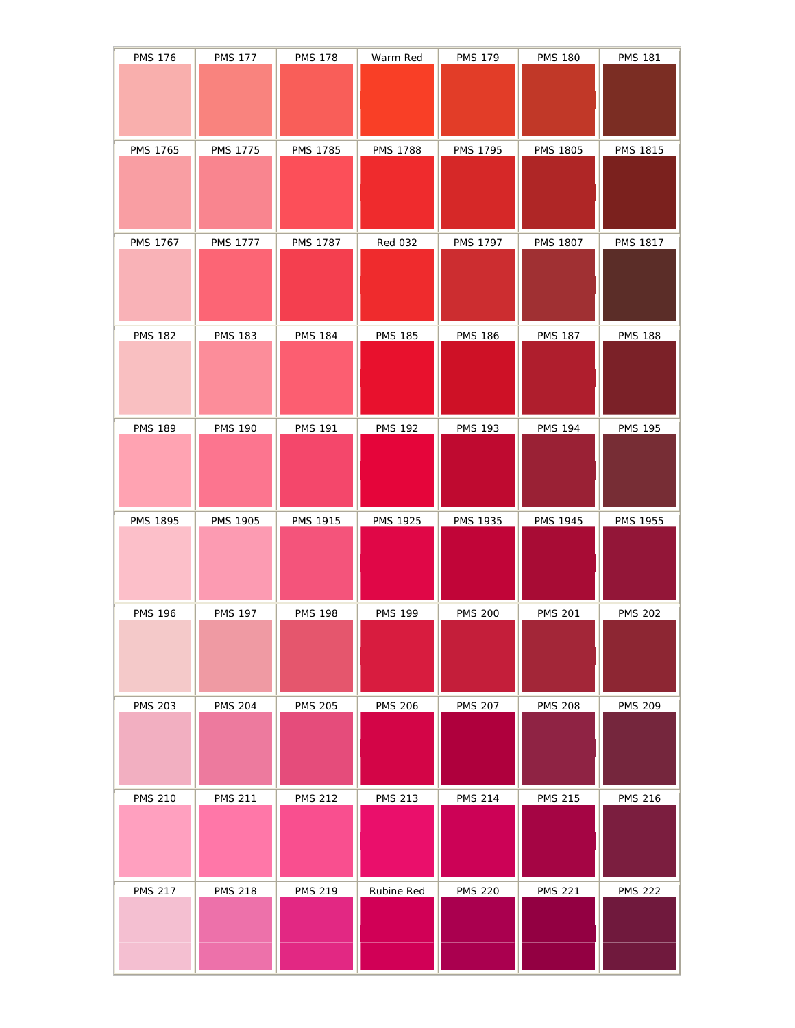| <b>PMS 176</b>  | <b>PMS 177</b>  | <b>PMS 178</b>  | Warm Red        | <b>PMS 179</b>  | <b>PMS 180</b>  | <b>PMS 181</b>  |
|-----------------|-----------------|-----------------|-----------------|-----------------|-----------------|-----------------|
|                 |                 |                 |                 |                 |                 |                 |
|                 |                 |                 |                 |                 |                 |                 |
|                 |                 |                 |                 |                 |                 |                 |
|                 |                 |                 |                 |                 |                 |                 |
| <b>PMS 1765</b> | <b>PMS 1775</b> | <b>PMS 1785</b> | <b>PMS 1788</b> | <b>PMS 1795</b> | <b>PMS 1805</b> | PMS 1815        |
|                 |                 |                 |                 |                 |                 |                 |
|                 |                 |                 |                 |                 |                 |                 |
|                 |                 |                 |                 |                 |                 |                 |
|                 |                 |                 |                 |                 |                 |                 |
| <b>PMS 1767</b> | <b>PMS 1777</b> | <b>PMS 1787</b> | <b>Red 032</b>  | <b>PMS 1797</b> | <b>PMS 1807</b> | <b>PMS 1817</b> |
|                 |                 |                 |                 |                 |                 |                 |
|                 |                 |                 |                 |                 |                 |                 |
|                 |                 |                 |                 |                 |                 |                 |
|                 |                 |                 |                 |                 |                 |                 |
| <b>PMS 182</b>  | <b>PMS 183</b>  | <b>PMS 184</b>  | <b>PMS 185</b>  | <b>PMS 186</b>  | <b>PMS 187</b>  | <b>PMS 188</b>  |
|                 |                 |                 |                 |                 |                 |                 |
|                 |                 |                 |                 |                 |                 |                 |
|                 |                 |                 |                 |                 |                 |                 |
|                 |                 |                 |                 |                 |                 |                 |
| <b>PMS 189</b>  | <b>PMS 190</b>  | <b>PMS 191</b>  | <b>PMS 192</b>  | <b>PMS 193</b>  | <b>PMS 194</b>  | <b>PMS 195</b>  |
|                 |                 |                 |                 |                 |                 |                 |
|                 |                 |                 |                 |                 |                 |                 |
|                 |                 |                 |                 |                 |                 |                 |
|                 |                 |                 |                 |                 |                 |                 |
| PMS 1895        | <b>PMS 1905</b> | <b>PMS 1915</b> | <b>PMS 1925</b> | <b>PMS 1935</b> | <b>PMS 1945</b> | <b>PMS 1955</b> |
|                 |                 |                 |                 |                 |                 |                 |
|                 |                 |                 |                 |                 |                 |                 |
|                 |                 |                 |                 |                 |                 |                 |
|                 |                 |                 |                 |                 |                 |                 |
|                 |                 |                 |                 |                 |                 |                 |
| <b>PMS 196</b>  | <b>PMS 197</b>  | <b>PMS 198</b>  | <b>PMS 199</b>  | <b>PMS 200</b>  | <b>PMS 201</b>  | <b>PMS 202</b>  |
|                 |                 |                 |                 |                 |                 |                 |
|                 |                 |                 |                 |                 |                 |                 |
|                 |                 |                 |                 |                 |                 |                 |
|                 |                 |                 |                 |                 |                 |                 |
| <b>PMS 203</b>  | <b>PMS 204</b>  | <b>PMS 205</b>  | <b>PMS 206</b>  | <b>PMS 207</b>  | <b>PMS 208</b>  | <b>PMS 209</b>  |
|                 |                 |                 |                 |                 |                 |                 |
|                 |                 |                 |                 |                 |                 |                 |
|                 |                 |                 |                 |                 |                 |                 |
|                 |                 |                 |                 |                 |                 |                 |
| <b>PMS 210</b>  | <b>PMS 211</b>  | <b>PMS 212</b>  | <b>PMS 213</b>  | <b>PMS 214</b>  | <b>PMS 215</b>  | <b>PMS 216</b>  |
|                 |                 |                 |                 |                 |                 |                 |
|                 |                 |                 |                 |                 |                 |                 |
|                 |                 |                 |                 |                 |                 |                 |
|                 |                 |                 |                 |                 |                 |                 |
| <b>PMS 217</b>  | <b>PMS 218</b>  | <b>PMS 219</b>  | Rubine Red      | <b>PMS 220</b>  | <b>PMS 221</b>  | <b>PMS 222</b>  |
|                 |                 |                 |                 |                 |                 |                 |
|                 |                 |                 |                 |                 |                 |                 |
|                 |                 |                 |                 |                 |                 |                 |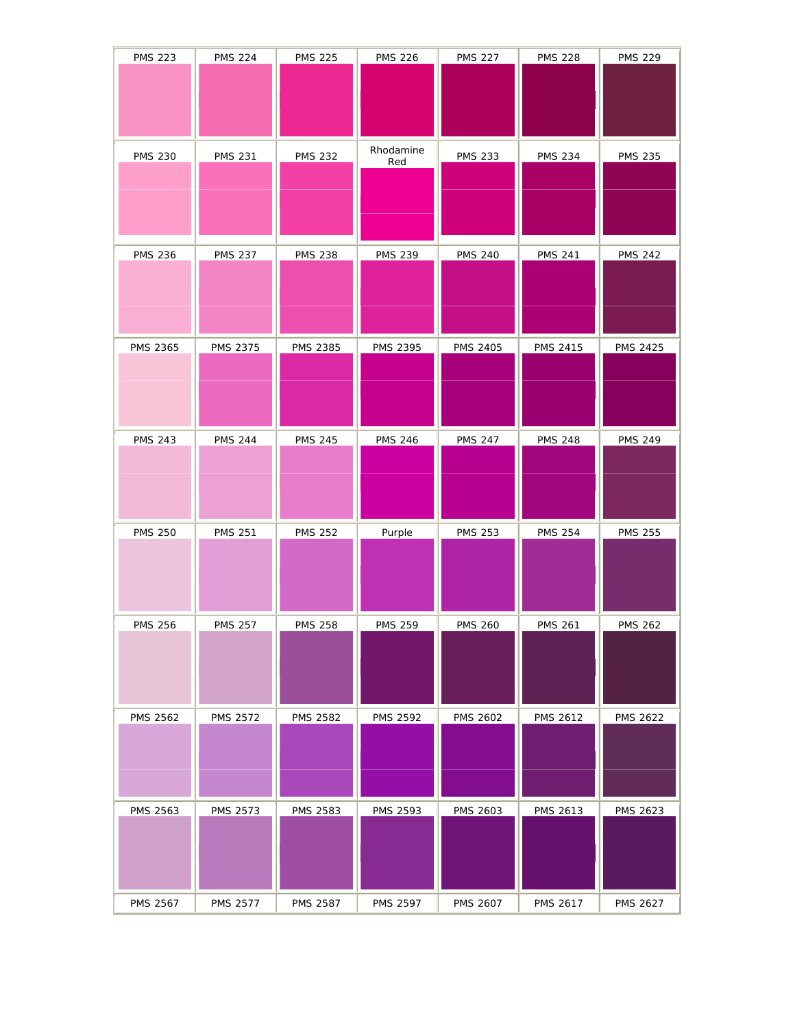| <b>PMS 223</b>  | <b>PMS 224</b>  | <b>PMS 225</b>  | <b>PMS 226</b>  | <b>PMS 227</b>  | <b>PMS 228</b>  | <b>PMS 229</b>  |
|-----------------|-----------------|-----------------|-----------------|-----------------|-----------------|-----------------|
|                 |                 |                 |                 |                 |                 |                 |
|                 |                 |                 |                 |                 |                 |                 |
|                 |                 |                 |                 |                 |                 |                 |
|                 |                 |                 |                 |                 |                 |                 |
| <b>PMS 230</b>  | <b>PMS 231</b>  | <b>PMS 232</b>  | Rhodamine       | <b>PMS 233</b>  | <b>PMS 234</b>  | <b>PMS 235</b>  |
|                 |                 |                 | Red             |                 |                 |                 |
|                 |                 |                 |                 |                 |                 |                 |
|                 |                 |                 |                 |                 |                 |                 |
|                 |                 |                 |                 |                 |                 |                 |
| <b>PMS 236</b>  | <b>PMS 237</b>  | <b>PMS 238</b>  | <b>PMS 239</b>  | <b>PMS 240</b>  | <b>PMS 241</b>  | <b>PMS 242</b>  |
|                 |                 |                 |                 |                 |                 |                 |
|                 |                 |                 |                 |                 |                 |                 |
|                 |                 |                 |                 |                 |                 |                 |
|                 |                 |                 |                 |                 |                 |                 |
| <b>PMS 2365</b> | PMS 2375        | PMS 2385        | PMS 2395        | PMS 2405        | PMS 2415        | PMS 2425        |
|                 |                 |                 |                 |                 |                 |                 |
|                 |                 |                 |                 |                 |                 |                 |
|                 |                 |                 |                 |                 |                 |                 |
|                 |                 |                 |                 |                 |                 |                 |
| <b>PMS 243</b>  | <b>PMS 244</b>  | <b>PMS 245</b>  | <b>PMS 246</b>  | <b>PMS 247</b>  | <b>PMS 248</b>  | <b>PMS 249</b>  |
|                 |                 |                 |                 |                 |                 |                 |
|                 |                 |                 |                 |                 |                 |                 |
|                 |                 |                 |                 |                 |                 |                 |
|                 |                 |                 |                 |                 |                 |                 |
| <b>PMS 250</b>  | <b>PMS 251</b>  | <b>PMS 252</b>  | Purple          | <b>PMS 253</b>  | <b>PMS 254</b>  | <b>PMS 255</b>  |
|                 |                 |                 |                 |                 |                 |                 |
|                 |                 |                 |                 |                 |                 |                 |
|                 |                 |                 |                 |                 |                 |                 |
| <b>PMS 256</b>  | <b>PMS 257</b>  |                 | <b>PMS 259</b>  |                 |                 |                 |
|                 |                 | <b>PMS 258</b>  |                 | <b>PMS 260</b>  | <b>PMS 261</b>  | <b>PMS 262</b>  |
|                 |                 |                 |                 |                 |                 |                 |
|                 |                 |                 |                 |                 |                 |                 |
|                 |                 |                 |                 |                 |                 |                 |
| <b>PMS 2562</b> | <b>PMS 2572</b> | <b>PMS 2582</b> | <b>PMS 2592</b> | <b>PMS 2602</b> | <b>PMS 2612</b> | <b>PMS 2622</b> |
|                 |                 |                 |                 |                 |                 |                 |
|                 |                 |                 |                 |                 |                 |                 |
|                 |                 |                 |                 |                 |                 |                 |
|                 |                 |                 |                 |                 |                 |                 |
| PMS 2563        | PMS 2573        | PMS 2583        | PMS 2593        | <b>PMS 2603</b> | <b>PMS 2613</b> | <b>PMS 2623</b> |
|                 |                 |                 |                 |                 |                 |                 |
|                 |                 |                 |                 |                 |                 |                 |
|                 |                 |                 |                 |                 |                 |                 |
|                 |                 |                 |                 |                 |                 |                 |
| <b>PMS 2567</b> | <b>PMS 2577</b> | <b>PMS 2587</b> | <b>PMS 2597</b> | PMS 2607        | PMS 2617        | <b>PMS 2627</b> |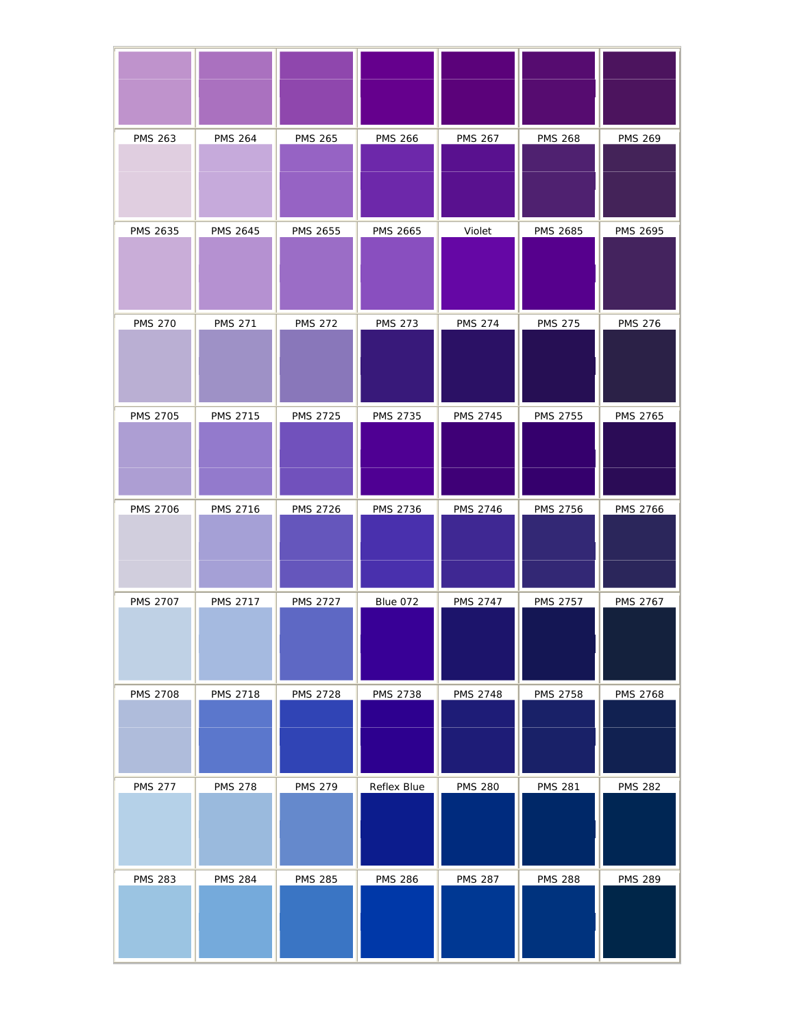| <b>PMS 263</b>  | <b>PMS 264</b>  | <b>PMS 265</b>  | <b>PMS 266</b>  | <b>PMS 267</b>  | <b>PMS 268</b>  | <b>PMS 269</b>  |
|-----------------|-----------------|-----------------|-----------------|-----------------|-----------------|-----------------|
| PMS 2635        | <b>PMS 2645</b> | PMS 2655        | <b>PMS 2665</b> | Violet          | <b>PMS 2685</b> | <b>PMS 2695</b> |
| <b>PMS 270</b>  | <b>PMS 271</b>  | <b>PMS 272</b>  | <b>PMS 273</b>  | <b>PMS 274</b>  | <b>PMS 275</b>  | <b>PMS 276</b>  |
| <b>PMS 2705</b> | PMS 2715        | <b>PMS 2725</b> | <b>PMS 2735</b> | <b>PMS 2745</b> | <b>PMS 2755</b> | PMS 2765        |
| <b>PMS 2706</b> | <b>PMS 2716</b> | <b>PMS 2726</b> | PMS 2736        | PMS 2746        | PMS 2756        | <b>PMS 2766</b> |
| <b>PMS 2707</b> | <b>PMS 2717</b> | <b>PMS 2727</b> | Blue 072        | <b>PMS 2747</b> | <b>PMS 2757</b> | <b>PMS 2767</b> |
| <b>PMS 2708</b> | <b>PMS 2718</b> | <b>PMS 2728</b> | <b>PMS 2738</b> | <b>PMS 2748</b> | <b>PMS 2758</b> | <b>PMS 2768</b> |
| <b>PMS 277</b>  | <b>PMS 278</b>  | <b>PMS 279</b>  | Reflex Blue     | <b>PMS 280</b>  | <b>PMS 281</b>  | <b>PMS 282</b>  |
| <b>PMS 283</b>  | <b>PMS 284</b>  | <b>PMS 285</b>  | <b>PMS 286</b>  | <b>PMS 287</b>  | <b>PMS 288</b>  | <b>PMS 289</b>  |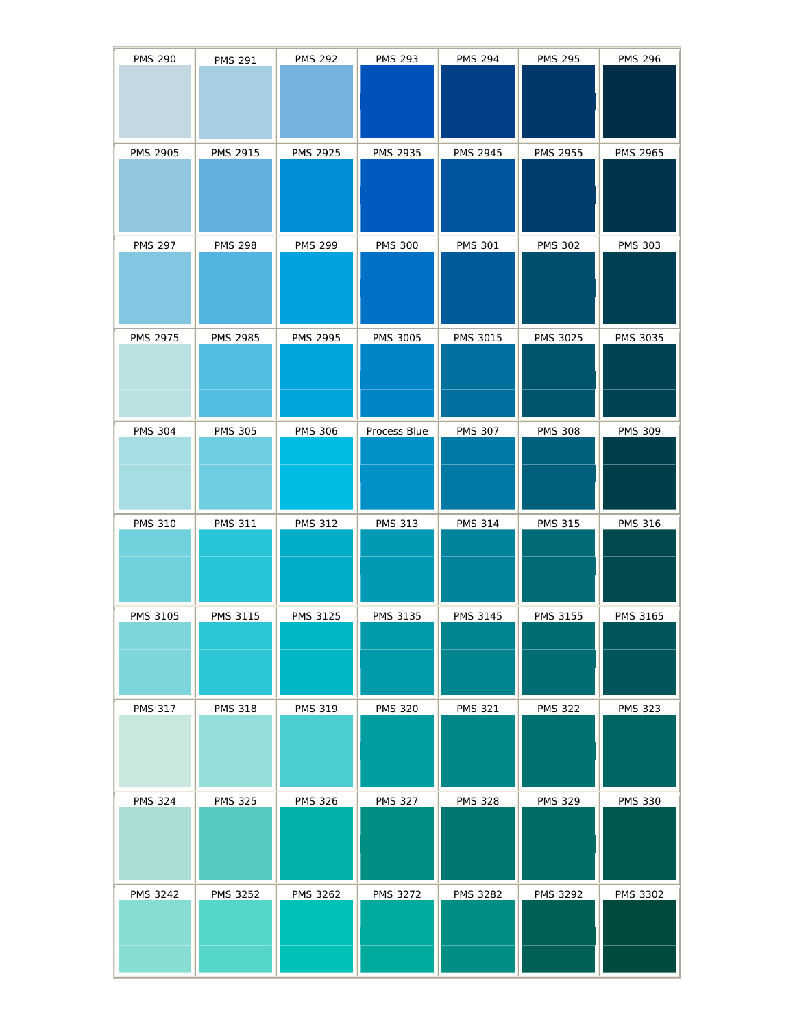| <b>PMS 290</b>  | <b>PMS 291</b>  | <b>PMS 292</b>  | <b>PMS 293</b>  | <b>PMS 294</b>  | <b>PMS 295</b>  | <b>PMS 296</b>  |
|-----------------|-----------------|-----------------|-----------------|-----------------|-----------------|-----------------|
|                 |                 |                 |                 |                 |                 |                 |
|                 |                 |                 |                 |                 |                 |                 |
|                 |                 |                 |                 |                 |                 |                 |
|                 |                 |                 |                 |                 |                 |                 |
| <b>PMS 2905</b> | PMS 2915        | PMS 2925        | <b>PMS 2935</b> | PMS 2945        | PMS 2955        | PMS 2965        |
|                 |                 |                 |                 |                 |                 |                 |
|                 |                 |                 |                 |                 |                 |                 |
|                 |                 |                 |                 |                 |                 |                 |
| <b>PMS 297</b>  | <b>PMS 298</b>  | <b>PMS 299</b>  | <b>PMS 300</b>  | <b>PMS 301</b>  | <b>PMS 302</b>  | <b>PMS 303</b>  |
|                 |                 |                 |                 |                 |                 |                 |
|                 |                 |                 |                 |                 |                 |                 |
|                 |                 |                 |                 |                 |                 |                 |
|                 |                 |                 |                 |                 |                 |                 |
| <b>PMS 2975</b> | PMS 2985        | PMS 2995        | PMS 3005        | PMS 3015        | PMS 3025        | PMS 3035        |
|                 |                 |                 |                 |                 |                 |                 |
|                 |                 |                 |                 |                 |                 |                 |
|                 |                 |                 |                 |                 |                 |                 |
|                 |                 |                 |                 |                 |                 |                 |
| <b>PMS 304</b>  | <b>PMS 305</b>  | <b>PMS 306</b>  | Process Blue    | <b>PMS 307</b>  | <b>PMS 308</b>  | <b>PMS 309</b>  |
|                 |                 |                 |                 |                 |                 |                 |
|                 |                 |                 |                 |                 |                 |                 |
|                 |                 |                 |                 |                 |                 |                 |
|                 |                 |                 |                 |                 |                 |                 |
| <b>PMS 310</b>  | <b>PMS 311</b>  | <b>PMS 312</b>  | <b>PMS 313</b>  | <b>PMS 314</b>  | <b>PMS 315</b>  | <b>PMS 316</b>  |
|                 |                 |                 |                 |                 |                 |                 |
|                 |                 |                 |                 |                 |                 |                 |
|                 |                 |                 |                 |                 |                 |                 |
|                 |                 |                 |                 |                 |                 |                 |
| <b>PMS 3105</b> | <b>PMS 3115</b> | <b>PMS 3125</b> | <b>PMS 3135</b> | <b>PMS 3145</b> | <b>PMS 3155</b> | <b>PMS 3165</b> |
|                 |                 |                 |                 |                 |                 |                 |
|                 |                 |                 |                 |                 |                 |                 |
|                 |                 |                 |                 |                 |                 |                 |
| <b>PMS 317</b>  | <b>PMS 318</b>  | <b>PMS 319</b>  | <b>PMS 320</b>  | <b>PMS 321</b>  | <b>PMS 322</b>  | <b>PMS 323</b>  |
|                 |                 |                 |                 |                 |                 |                 |
|                 |                 |                 |                 |                 |                 |                 |
|                 |                 |                 |                 |                 |                 |                 |
|                 |                 |                 |                 |                 |                 |                 |
| <b>PMS 324</b>  | <b>PMS 325</b>  | <b>PMS 326</b>  | <b>PMS 327</b>  | <b>PMS 328</b>  | <b>PMS 329</b>  | <b>PMS 330</b>  |
|                 |                 |                 |                 |                 |                 |                 |
|                 |                 |                 |                 |                 |                 |                 |
|                 |                 |                 |                 |                 |                 |                 |
| <b>PMS 3242</b> | <b>PMS 3252</b> | PMS 3262        | PMS 3272        | PMS 3282        | PMS 3292        | PMS 3302        |
|                 |                 |                 |                 |                 |                 |                 |
|                 |                 |                 |                 |                 |                 |                 |
|                 |                 |                 |                 |                 |                 |                 |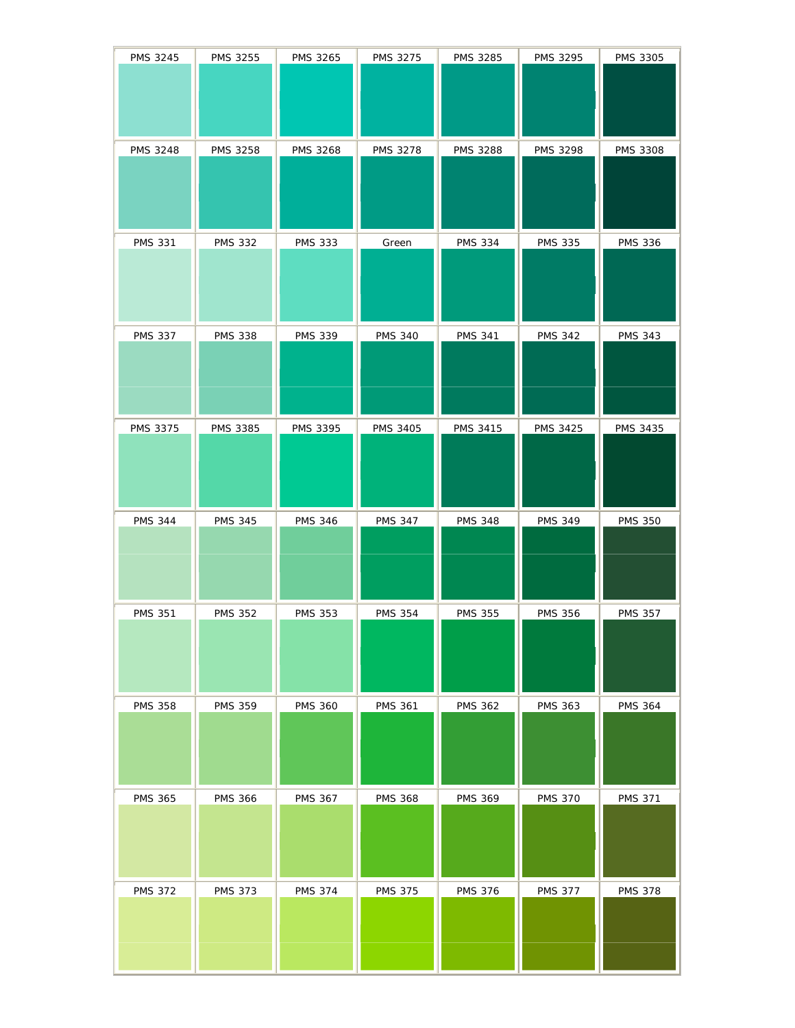| PMS 3245        | PMS 3255        | <b>PMS 3265</b> | <b>PMS 3275</b> | PMS 3285        | <b>PMS 3295</b> | <b>PMS 3305</b> |
|-----------------|-----------------|-----------------|-----------------|-----------------|-----------------|-----------------|
| <b>PMS 3248</b> | PMS 3258        | <b>PMS 3268</b> | PMS 3278        | <b>PMS 3288</b> | PMS 3298        | <b>PMS 3308</b> |
| <b>PMS 331</b>  | <b>PMS 332</b>  | <b>PMS 333</b>  | Green           | <b>PMS 334</b>  | <b>PMS 335</b>  | <b>PMS 336</b>  |
| <b>PMS 337</b>  | <b>PMS 338</b>  | <b>PMS 339</b>  | <b>PMS 340</b>  | <b>PMS 341</b>  | <b>PMS 342</b>  | <b>PMS 343</b>  |
| PMS 3375        | <b>PMS 3385</b> | PMS 3395        | <b>PMS 3405</b> | PMS 3415        | <b>PMS 3425</b> | PMS 3435        |
|                 |                 |                 |                 |                 |                 |                 |
| <b>PMS 344</b>  | <b>PMS 345</b>  | <b>PMS 346</b>  | <b>PMS 347</b>  | <b>PMS 348</b>  | <b>PMS 349</b>  | <b>PMS 350</b>  |
| <b>PMS 351</b>  | <b>PMS 352</b>  | <b>PMS 353</b>  | <b>PMS 354</b>  | <b>PMS 355</b>  | <b>PMS 356</b>  | <b>PMS 357</b>  |
| <b>PMS 358</b>  | <b>PMS 359</b>  | <b>PMS 360</b>  | <b>PMS 361</b>  | <b>PMS 362</b>  | <b>PMS 363</b>  | <b>PMS 364</b>  |
| <b>PMS 365</b>  | <b>PMS 366</b>  | <b>PMS 367</b>  | <b>PMS 368</b>  | <b>PMS 369</b>  | <b>PMS 370</b>  | <b>PMS 371</b>  |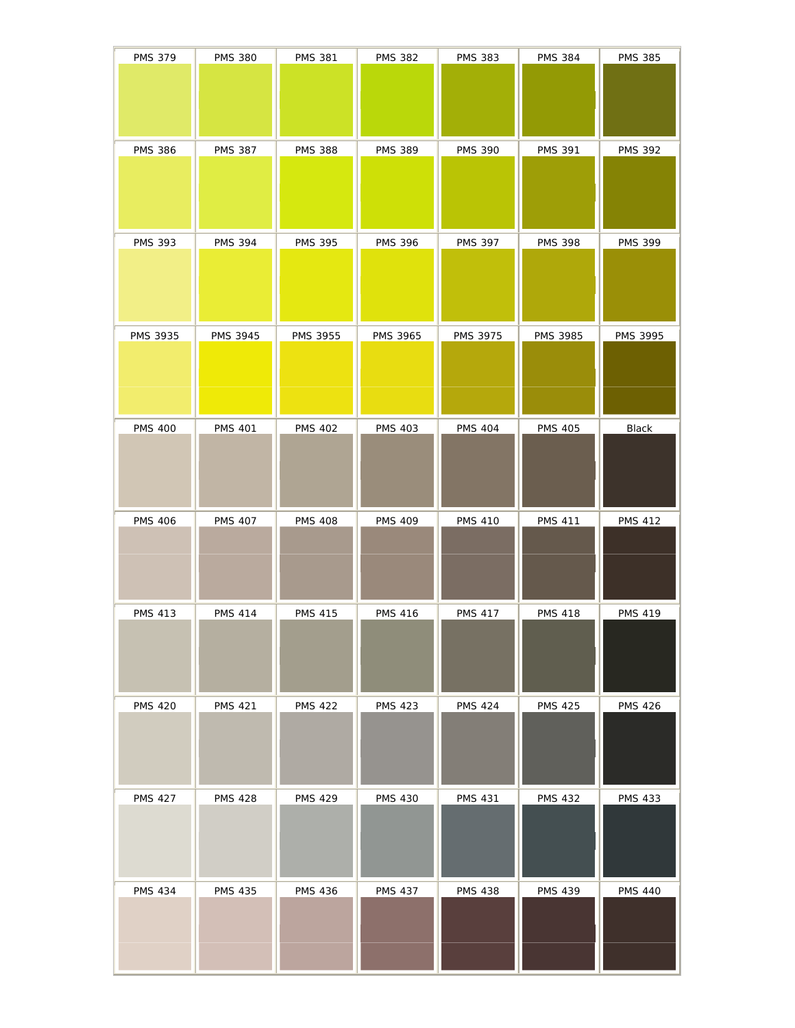| <b>PMS 379</b> | <b>PMS 380</b>  | <b>PMS 381</b>  | <b>PMS 382</b>  | <b>PMS 383</b> | <b>PMS 384</b>  | <b>PMS 385</b>  |
|----------------|-----------------|-----------------|-----------------|----------------|-----------------|-----------------|
|                |                 |                 |                 |                |                 |                 |
|                |                 |                 |                 |                |                 |                 |
| <b>PMS 386</b> | <b>PMS 387</b>  | <b>PMS 388</b>  | <b>PMS 389</b>  | <b>PMS 390</b> | <b>PMS 391</b>  | <b>PMS 392</b>  |
|                |                 |                 |                 |                |                 |                 |
|                |                 |                 |                 |                |                 |                 |
| <b>PMS 393</b> | <b>PMS 394</b>  | <b>PMS 395</b>  | <b>PMS 396</b>  | <b>PMS 397</b> | <b>PMS 398</b>  | <b>PMS 399</b>  |
|                |                 |                 |                 |                |                 |                 |
| PMS 3935       |                 |                 |                 | PMS 3975       | <b>PMS 3985</b> |                 |
|                | <b>PMS 3945</b> | <b>PMS 3955</b> | <b>PMS 3965</b> |                |                 | <b>PMS 3995</b> |
|                |                 |                 |                 |                |                 |                 |
| <b>PMS 400</b> | <b>PMS 401</b>  | <b>PMS 402</b>  | <b>PMS 403</b>  | <b>PMS 404</b> | <b>PMS 405</b>  | Black           |
|                |                 |                 |                 |                |                 |                 |
|                |                 |                 |                 |                |                 |                 |
| <b>PMS 406</b> | <b>PMS 407</b>  | <b>PMS 408</b>  | <b>PMS 409</b>  | <b>PMS 410</b> | <b>PMS 411</b>  | <b>PMS 412</b>  |
|                |                 |                 |                 |                |                 |                 |
|                |                 |                 |                 |                |                 |                 |
| <b>PMS 413</b> | <b>PMS 414</b>  | <b>PMS 415</b>  | <b>PMS 416</b>  | <b>PMS 417</b> | <b>PMS 418</b>  | <b>PMS 419</b>  |
|                |                 |                 |                 |                |                 |                 |
| <b>PMS 420</b> | <b>PMS 421</b>  | <b>PMS 422</b>  | <b>PMS 423</b>  | <b>PMS 424</b> | <b>PMS 425</b>  | <b>PMS 426</b>  |
|                |                 |                 |                 |                |                 |                 |
|                |                 |                 |                 |                |                 |                 |
| <b>PMS 427</b> | <b>PMS 428</b>  | <b>PMS 429</b>  | <b>PMS 430</b>  | <b>PMS 431</b> | <b>PMS 432</b>  | <b>PMS 433</b>  |
|                |                 |                 |                 |                |                 |                 |
|                |                 |                 |                 |                |                 |                 |
| <b>PMS 434</b> | <b>PMS 435</b>  | <b>PMS 436</b>  | <b>PMS 437</b>  | <b>PMS 438</b> | <b>PMS 439</b>  | <b>PMS 440</b>  |
|                |                 |                 |                 |                |                 |                 |
|                |                 |                 |                 |                |                 |                 |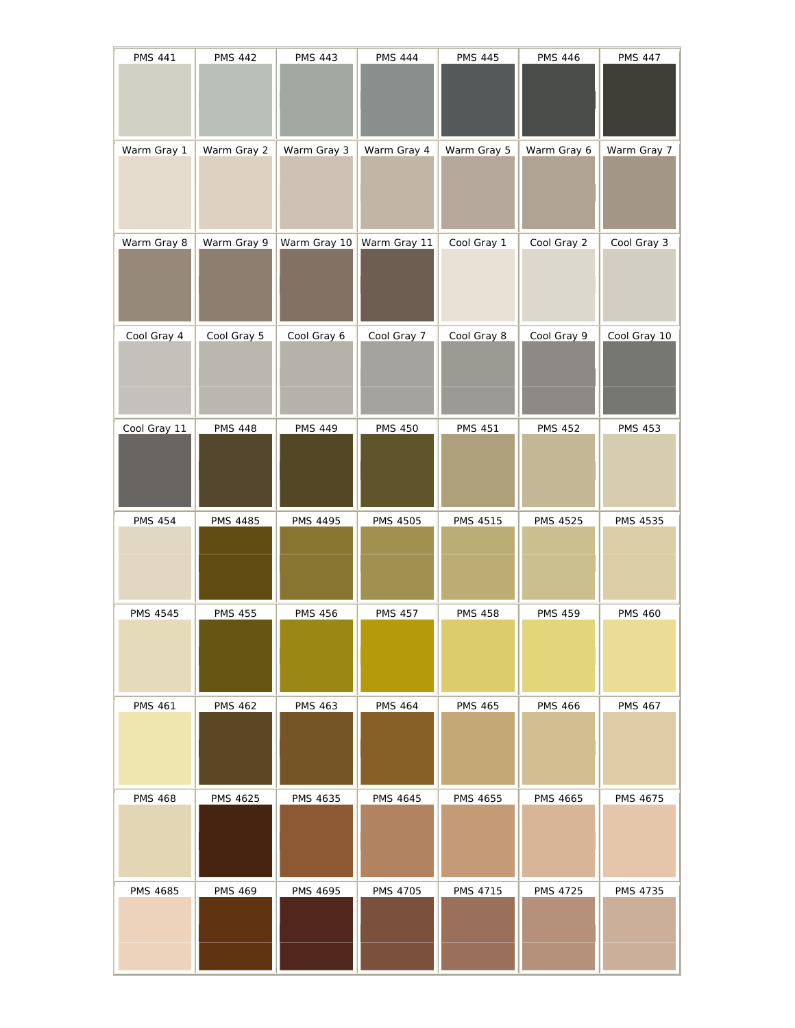| <b>PMS 441</b>  | <b>PMS 442</b>  | <b>PMS 443</b> | <b>PMS 444</b>  | <b>PMS 445</b>  | <b>PMS 446</b>  | <b>PMS 447</b>  |
|-----------------|-----------------|----------------|-----------------|-----------------|-----------------|-----------------|
|                 |                 |                |                 |                 |                 |                 |
| Warm Gray 1     | Warm Gray 2     | Warm Gray 3    | Warm Gray 4     | Warm Gray 5     | Warm Gray 6     | Warm Gray 7     |
|                 |                 |                |                 |                 |                 |                 |
| Warm Gray 8     | Warm Gray 9     | Warm Gray 10   | Warm Gray 11    | Cool Gray 1     | Cool Gray 2     | Cool Gray 3     |
|                 |                 |                |                 |                 |                 |                 |
| Cool Gray 4     | Cool Gray 5     | Cool Gray 6    | Cool Gray 7     | Cool Gray 8     | Cool Gray 9     | Cool Gray 10    |
|                 |                 |                |                 |                 |                 |                 |
| Cool Gray 11    | <b>PMS 448</b>  | <b>PMS 449</b> | <b>PMS 450</b>  | <b>PMS 451</b>  | <b>PMS 452</b>  | <b>PMS 453</b>  |
|                 |                 |                |                 |                 |                 |                 |
| <b>PMS 454</b>  | <b>PMS 4485</b> | PMS 4495       | <b>PMS 4505</b> | <b>PMS 4515</b> | <b>PMS 4525</b> | <b>PMS 4535</b> |
|                 |                 |                |                 |                 |                 |                 |
| PMS 4545        | <b>PMS 455</b>  | <b>PMS 456</b> | <b>PMS 457</b>  | <b>PMS 458</b>  | <b>PMS 459</b>  | <b>PMS 460</b>  |
|                 |                 |                |                 |                 |                 |                 |
| <b>PMS 461</b>  | <b>PMS 462</b>  | <b>PMS 463</b> | <b>PMS 464</b>  | <b>PMS 465</b>  | <b>PMS 466</b>  | <b>PMS 467</b>  |
|                 |                 |                |                 |                 |                 |                 |
| <b>PMS 468</b>  | <b>PMS 4625</b> | PMS 4635       | <b>PMS 4645</b> | PMS 4655        | <b>PMS 4665</b> | PMS 4675        |
|                 |                 |                |                 |                 |                 |                 |
| <b>PMS 4685</b> | <b>PMS 469</b>  | PMS 4695       | <b>PMS 4705</b> | <b>PMS 4715</b> | <b>PMS 4725</b> | <b>PMS 4735</b> |
|                 |                 |                |                 |                 |                 |                 |
|                 |                 |                |                 |                 |                 |                 |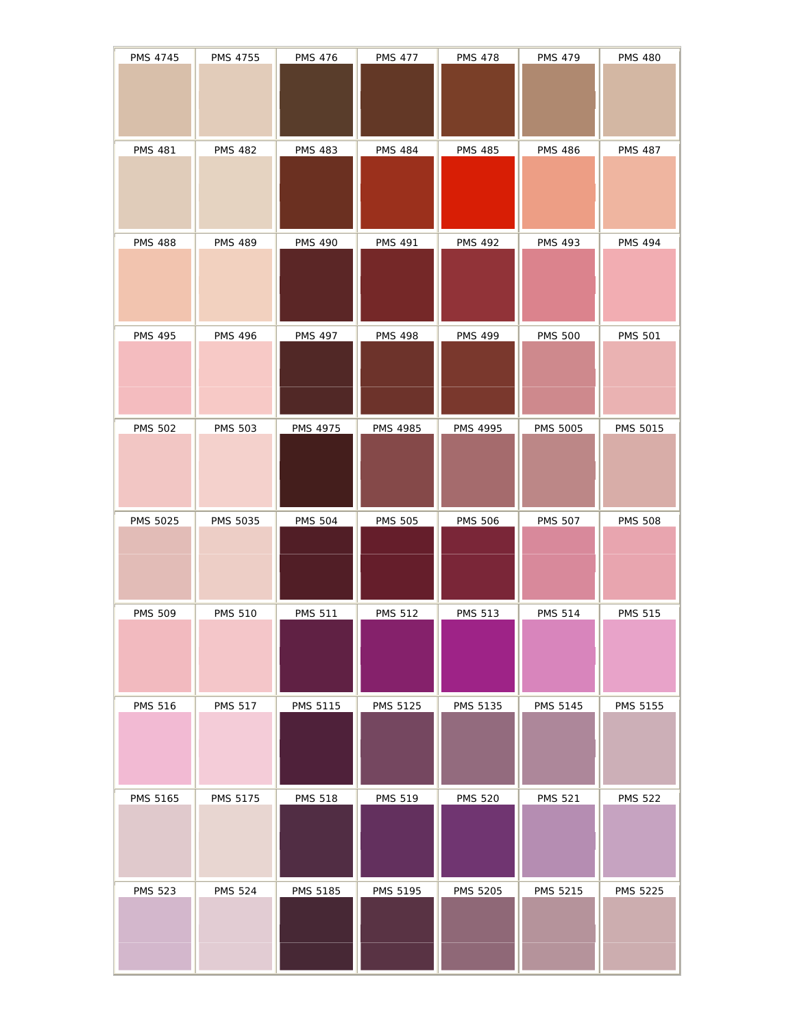| PMS 4745       | PMS 4755       | <b>PMS 476</b> | <b>PMS 477</b>  | <b>PMS 478</b>  | <b>PMS 479</b>  | <b>PMS 480</b>  |
|----------------|----------------|----------------|-----------------|-----------------|-----------------|-----------------|
|                |                |                |                 |                 |                 |                 |
| <b>PMS 481</b> | <b>PMS 482</b> | <b>PMS 483</b> | <b>PMS 484</b>  | <b>PMS 485</b>  | <b>PMS 486</b>  | <b>PMS 487</b>  |
| <b>PMS 488</b> | <b>PMS 489</b> | <b>PMS 490</b> | <b>PMS 491</b>  | <b>PMS 492</b>  | <b>PMS 493</b>  | <b>PMS 494</b>  |
| <b>PMS 495</b> | <b>PMS 496</b> | <b>PMS 497</b> | <b>PMS 498</b>  | <b>PMS 499</b>  | <b>PMS 500</b>  | <b>PMS 501</b>  |
| <b>PMS 502</b> | <b>PMS 503</b> | PMS 4975       | <b>PMS 4985</b> | PMS 4995        | <b>PMS 5005</b> | PMS 5015        |
| PMS 5025       | PMS 5035       | <b>PMS 504</b> | <b>PMS 505</b>  | <b>PMS 506</b>  | <b>PMS 507</b>  | <b>PMS 508</b>  |
| <b>PMS 509</b> | <b>PMS 510</b> | <b>PMS 511</b> | <b>PMS 512</b>  | <b>PMS 513</b>  | <b>PMS 514</b>  | <b>PMS 515</b>  |
| <b>PMS 516</b> | <b>PMS 517</b> | PMS 5115       | PMS 5125        | PMS 5135        | PMS 5145        | PMS 5155        |
| PMS 5165       | PMS 5175       | <b>PMS 518</b> | <b>PMS 519</b>  | <b>PMS 520</b>  | <b>PMS 521</b>  | <b>PMS 522</b>  |
| <b>PMS 523</b> | <b>PMS 524</b> | PMS 5185       | PMS 5195        | <b>PMS 5205</b> | PMS 5215        | <b>PMS 5225</b> |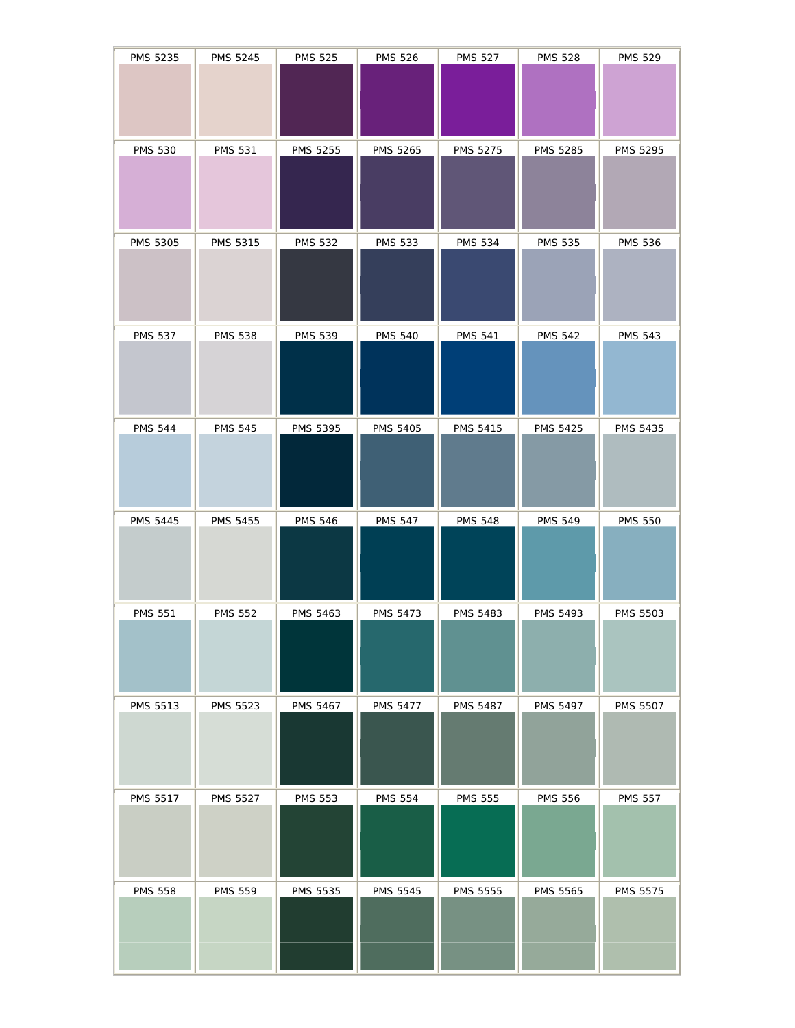| PMS 5235        | PMS 5245        | <b>PMS 525</b>  | <b>PMS 526</b>  | <b>PMS 527</b>  | <b>PMS 528</b>  | <b>PMS 529</b>  |
|-----------------|-----------------|-----------------|-----------------|-----------------|-----------------|-----------------|
|                 |                 |                 |                 |                 |                 |                 |
| <b>PMS 530</b>  | <b>PMS 531</b>  | PMS 5255        | <b>PMS 5265</b> | PMS 5275        | PMS 5285        | PMS 5295        |
| PMS 5305        | PMS 5315        | <b>PMS 532</b>  | <b>PMS 533</b>  | <b>PMS 534</b>  | <b>PMS 535</b>  | <b>PMS 536</b>  |
| <b>PMS 537</b>  | <b>PMS 538</b>  | <b>PMS 539</b>  | <b>PMS 540</b>  | <b>PMS 541</b>  | <b>PMS 542</b>  | <b>PMS 543</b>  |
| <b>PMS 544</b>  | <b>PMS 545</b>  | PMS 5395        | PMS 5405        | <b>PMS 5415</b> | <b>PMS 5425</b> | <b>PMS 5435</b> |
| PMS 5445        | PMS 5455        | <b>PMS 546</b>  | <b>PMS 547</b>  | <b>PMS 548</b>  | <b>PMS 549</b>  | <b>PMS 550</b>  |
| <b>PMS 551</b>  | <b>PMS 552</b>  | <b>PMS 5463</b> | <b>PMS 5473</b> | PMS 5483        | PMS 5493        | <b>PMS 5503</b> |
| PMS 5513        | <b>PMS 5523</b> | PMS 5467        | <b>PMS 5477</b> | <b>PMS 5487</b> | <b>PMS 5497</b> | <b>PMS 5507</b> |
| <b>PMS 5517</b> | <b>PMS 5527</b> | <b>PMS 553</b>  | <b>PMS 554</b>  | <b>PMS 555</b>  | <b>PMS 556</b>  | <b>PMS 557</b>  |
| <b>PMS 558</b>  | <b>PMS 559</b>  | PMS 5535        | <b>PMS 5545</b> | <b>PMS 5555</b> | <b>PMS 5565</b> | <b>PMS 5575</b> |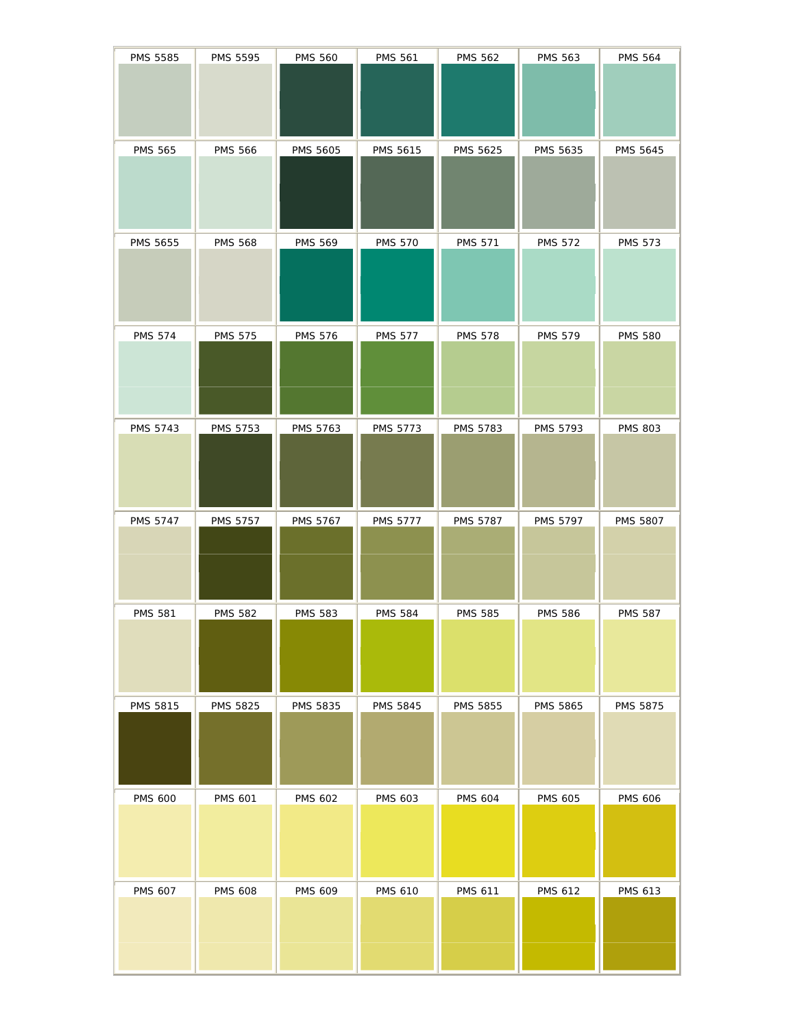| PMS 5585        | PMS 5595        | <b>PMS 560</b>  | <b>PMS 561</b>  | <b>PMS 562</b>  | <b>PMS 563</b>  | <b>PMS 564</b>  |
|-----------------|-----------------|-----------------|-----------------|-----------------|-----------------|-----------------|
| <b>PMS 565</b>  | <b>PMS 566</b>  | PMS 5605        | PMS 5615        | PMS 5625        | PMS 5635        | PMS 5645        |
| PMS 5655        | <b>PMS 568</b>  | <b>PMS 569</b>  | <b>PMS 570</b>  | <b>PMS 571</b>  | <b>PMS 572</b>  | <b>PMS 573</b>  |
| <b>PMS 574</b>  | <b>PMS 575</b>  | <b>PMS 576</b>  | <b>PMS 577</b>  | <b>PMS 578</b>  | <b>PMS 579</b>  | <b>PMS 580</b>  |
| <b>PMS 5743</b> | PMS 5753        | PMS 5763        | PMS 5773        | <b>PMS 5783</b> | PMS 5793        | <b>PMS 803</b>  |
| PMS 5747        | <b>PMS 5757</b> | PMS 5767        | <b>PMS 5777</b> | <b>PMS 5787</b> | PMS 5797        | <b>PMS 5807</b> |
| <b>PMS 581</b>  | <b>PMS 582</b>  | <b>PMS 583</b>  | <b>PMS 584</b>  | <b>PMS 585</b>  | <b>PMS 586</b>  | <b>PMS 587</b>  |
| PMS 5815        | <b>PMS 5825</b> | <b>PMS 5835</b> | <b>PMS 5845</b> | <b>PMS 5855</b> | <b>PMS 5865</b> | <b>PMS 5875</b> |
| <b>PMS 600</b>  | <b>PMS 601</b>  | PMS 602         | PMS 603         | <b>PMS 604</b>  | <b>PMS 605</b>  | <b>PMS 606</b>  |
| <b>PMS 607</b>  | <b>PMS 608</b>  | <b>PMS 609</b>  | <b>PMS 610</b>  | <b>PMS 611</b>  | <b>PMS 612</b>  | PMS 613         |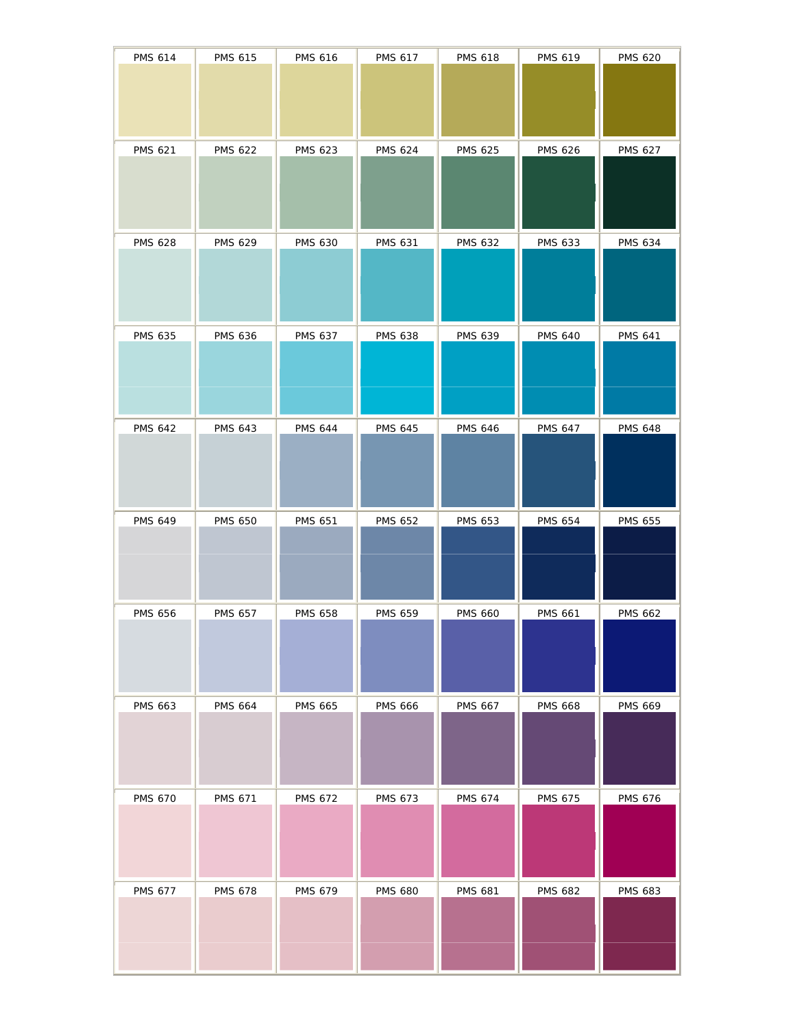| <b>PMS 614</b> | <b>PMS 615</b> | <b>PMS 616</b> | <b>PMS 617</b> | <b>PMS 618</b> | <b>PMS 619</b> | <b>PMS 620</b> |
|----------------|----------------|----------------|----------------|----------------|----------------|----------------|
| <b>PMS 621</b> | <b>PMS 622</b> | <b>PMS 623</b> | <b>PMS 624</b> | <b>PMS 625</b> | <b>PMS 626</b> | <b>PMS 627</b> |
| <b>PMS 628</b> | <b>PMS 629</b> | <b>PMS 630</b> | <b>PMS 631</b> | <b>PMS 632</b> | <b>PMS 633</b> | <b>PMS 634</b> |
| <b>PMS 635</b> | <b>PMS 636</b> | PMS 637        | <b>PMS 638</b> | <b>PMS 639</b> | <b>PMS 640</b> | <b>PMS 641</b> |
| <b>PMS 642</b> | <b>PMS 643</b> | <b>PMS 644</b> | <b>PMS 645</b> | <b>PMS 646</b> | <b>PMS 647</b> | <b>PMS 648</b> |
|                |                |                |                |                |                |                |
| <b>PMS 649</b> | <b>PMS 650</b> | <b>PMS 651</b> | <b>PMS 652</b> | <b>PMS 653</b> | <b>PMS 654</b> | <b>PMS 655</b> |
| <b>PMS 656</b> | <b>PMS 657</b> | <b>PMS 658</b> | <b>PMS 659</b> | <b>PMS 660</b> | <b>PMS 661</b> | <b>PMS 662</b> |
| <b>PMS 663</b> | <b>PMS 664</b> | <b>PMS 665</b> | <b>PMS 666</b> | <b>PMS 667</b> | <b>PMS 668</b> | <b>PMS 669</b> |
| <b>PMS 670</b> | <b>PMS 671</b> | <b>PMS 672</b> | <b>PMS 673</b> | <b>PMS 674</b> | PMS 675        | PMS 676        |